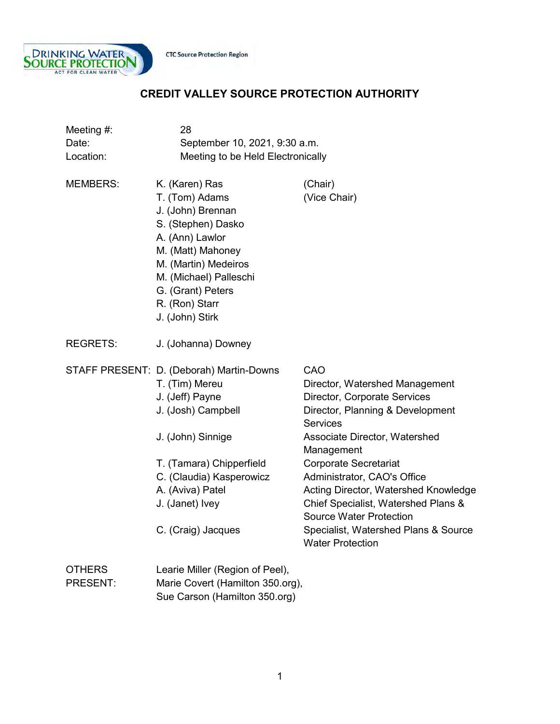**CTC Source Protection Region** 



# **CREDIT VALLEY SOURCE PROTECTION AUTHORITY**

| Meeting $#$ :<br>Date:<br>Location: | 28<br>September 10, 2021, 9:30 a.m.<br>Meeting to be Held Electronically                                                                                                                                                                      |                                                                                                                                                                                                                                                                                                                                                                                                                                |
|-------------------------------------|-----------------------------------------------------------------------------------------------------------------------------------------------------------------------------------------------------------------------------------------------|--------------------------------------------------------------------------------------------------------------------------------------------------------------------------------------------------------------------------------------------------------------------------------------------------------------------------------------------------------------------------------------------------------------------------------|
| <b>MEMBERS:</b>                     | K. (Karen) Ras<br>T. (Tom) Adams<br>J. (John) Brennan<br>S. (Stephen) Dasko<br>A. (Ann) Lawlor<br>M. (Matt) Mahoney<br>M. (Martin) Medeiros<br>M. (Michael) Palleschi<br>G. (Grant) Peters<br>R. (Ron) Starr<br>J. (John) Stirk               | (Chair)<br>(Vice Chair)                                                                                                                                                                                                                                                                                                                                                                                                        |
| <b>REGRETS:</b>                     | J. (Johanna) Downey                                                                                                                                                                                                                           |                                                                                                                                                                                                                                                                                                                                                                                                                                |
|                                     | STAFF PRESENT: D. (Deborah) Martin-Downs<br>T. (Tim) Mereu<br>J. (Jeff) Payne<br>J. (Josh) Campbell<br>J. (John) Sinnige<br>T. (Tamara) Chipperfield<br>C. (Claudia) Kasperowicz<br>A. (Aviva) Patel<br>J. (Janet) Ivey<br>C. (Craig) Jacques | CAO<br>Director, Watershed Management<br>Director, Corporate Services<br>Director, Planning & Development<br><b>Services</b><br>Associate Director, Watershed<br>Management<br><b>Corporate Secretariat</b><br>Administrator, CAO's Office<br>Acting Director, Watershed Knowledge<br>Chief Specialist, Watershed Plans &<br><b>Source Water Protection</b><br>Specialist, Watershed Plans & Source<br><b>Water Protection</b> |
| <b>OTHERS</b><br><b>PRESENT:</b>    | Learie Miller (Region of Peel),<br>Marie Covert (Hamilton 350.org),<br>Sue Carson (Hamilton 350.org)                                                                                                                                          |                                                                                                                                                                                                                                                                                                                                                                                                                                |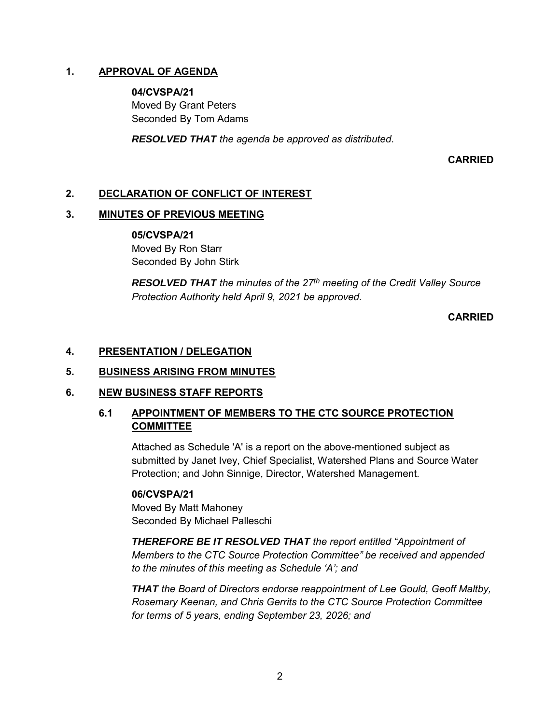# **1. APPROVAL OF AGENDA**

**04/CVSPA/21** Moved By Grant Peters Seconded By Tom Adams

*RESOLVED THAT the agenda be approved as distributed*.

**CARRIED**

## **2. DECLARATION OF CONFLICT OF INTEREST**

#### **3. MINUTES OF PREVIOUS MEETING**

**05/CVSPA/21**

Moved By Ron Starr Seconded By John Stirk

*RESOLVED THAT the minutes of the 27th meeting of the Credit Valley Source Protection Authority held April 9, 2021 be approved.*

**CARRIED**

## **4. PRESENTATION / DELEGATION**

#### **5. BUSINESS ARISING FROM MINUTES**

#### **6. NEW BUSINESS STAFF REPORTS**

# **6.1 APPOINTMENT OF MEMBERS TO THE CTC SOURCE PROTECTION COMMITTEE**

Attached as Schedule 'A' is a report on the above-mentioned subject as submitted by Janet Ivey, Chief Specialist, Watershed Plans and Source Water Protection; and John Sinnige, Director, Watershed Management.

## **06/CVSPA/21**

Moved By Matt Mahoney Seconded By Michael Palleschi

*THEREFORE BE IT RESOLVED THAT the report entitled "Appointment of Members to the CTC Source Protection Committee" be received and appended to the minutes of this meeting as Schedule 'A'; and*

*THAT the Board of Directors endorse reappointment of Lee Gould, Geoff Maltby, Rosemary Keenan, and Chris Gerrits to the CTC Source Protection Committee for terms of 5 years, ending September 23, 2026; and*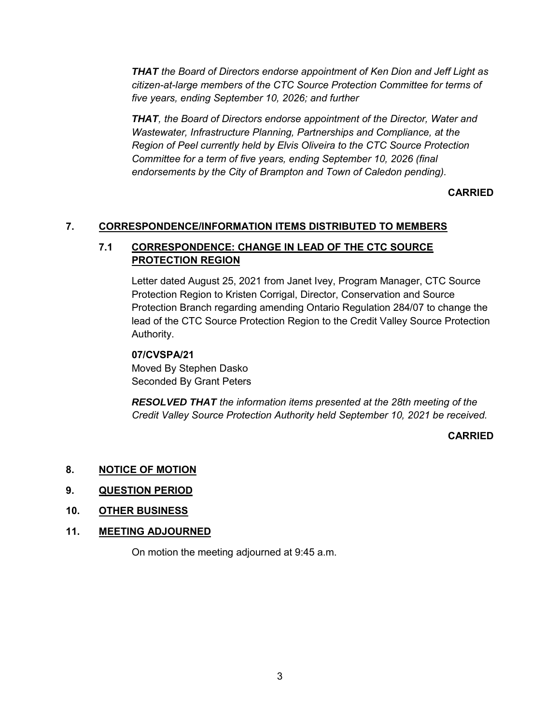*THAT the Board of Directors endorse appointment of Ken Dion and Jeff Light as citizen-at-large members of the CTC Source Protection Committee for terms of five years, ending September 10, 2026; and further*

*THAT, the Board of Directors endorse appointment of the Director, Water and Wastewater, Infrastructure Planning, Partnerships and Compliance, at the Region of Peel currently held by Elvis Oliveira to the CTC Source Protection Committee for a term of five years, ending September 10, 2026 (final endorsements by the City of Brampton and Town of Caledon pending).*

**CARRIED**

## **7. CORRESPONDENCE/INFORMATION ITEMS DISTRIBUTED TO MEMBERS**

# **7.1 CORRESPONDENCE: CHANGE IN LEAD OF THE CTC SOURCE PROTECTION REGION**

Letter dated August 25, 2021 from Janet Ivey, Program Manager, CTC Source Protection Region to Kristen Corrigal, Director, Conservation and Source Protection Branch regarding amending Ontario Regulation 284/07 to change the lead of the CTC Source Protection Region to the Credit Valley Source Protection Authority.

## **07/CVSPA/21**

Moved By Stephen Dasko Seconded By Grant Peters

*RESOLVED THAT the information items presented at the 28th meeting of the Credit Valley Source Protection Authority held September 10, 2021 be received.*

**CARRIED**

## **8. NOTICE OF MOTION**

- **9. QUESTION PERIOD**
- **10. OTHER BUSINESS**

## **11. MEETING ADJOURNED**

On motion the meeting adjourned at 9:45 a.m.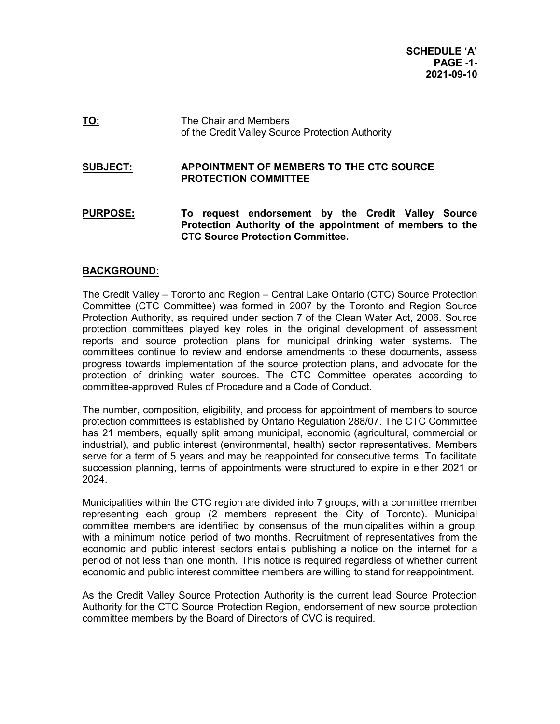**TO:** The Chair and Members of the Credit Valley Source Protection Authority

#### **SUBJECT: APPOINTMENT OF MEMBERS TO THE CTC SOURCE PROTECTION COMMITTEE**

**PURPOSE: To request endorsement by the Credit Valley Source Protection Authority of the appointment of members to the CTC Source Protection Committee.** 

## **BACKGROUND:**

The Credit Valley – Toronto and Region – Central Lake Ontario (CTC) Source Protection Committee (CTC Committee) was formed in 2007 by the Toronto and Region Source Protection Authority, as required under section 7 of the Clean Water Act, 2006. Source protection committees played key roles in the original development of assessment reports and source protection plans for municipal drinking water systems. The committees continue to review and endorse amendments to these documents, assess progress towards implementation of the source protection plans, and advocate for the protection of drinking water sources. The CTC Committee operates according to committee-approved Rules of Procedure and a Code of Conduct.

The number, composition, eligibility, and process for appointment of members to source protection committees is established by Ontario Regulation 288/07. The CTC Committee has 21 members, equally split among municipal, economic (agricultural, commercial or industrial), and public interest (environmental, health) sector representatives. Members serve for a term of 5 years and may be reappointed for consecutive terms. To facilitate succession planning, terms of appointments were structured to expire in either 2021 or 2024.

Municipalities within the CTC region are divided into 7 groups, with a committee member representing each group (2 members represent the City of Toronto). Municipal committee members are identified by consensus of the municipalities within a group, with a minimum notice period of two months. Recruitment of representatives from the economic and public interest sectors entails publishing a notice on the internet for a period of not less than one month. This notice is required regardless of whether current economic and public interest committee members are willing to stand for reappointment.

As the Credit Valley Source Protection Authority is the current lead Source Protection Authority for the CTC Source Protection Region, endorsement of new source protection committee members by the Board of Directors of CVC is required.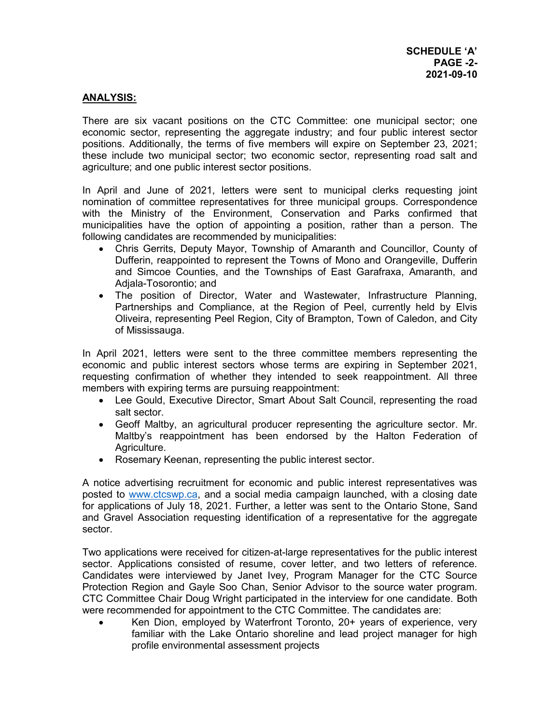## **ANALYSIS:**

There are six vacant positions on the CTC Committee: one municipal sector; one economic sector, representing the aggregate industry; and four public interest sector positions. Additionally, the terms of five members will expire on September 23, 2021; these include two municipal sector; two economic sector, representing road salt and agriculture; and one public interest sector positions.

In April and June of 2021, letters were sent to municipal clerks requesting joint nomination of committee representatives for three municipal groups. Correspondence with the Ministry of the Environment, Conservation and Parks confirmed that municipalities have the option of appointing a position, rather than a person. The following candidates are recommended by municipalities:

- Chris Gerrits, Deputy Mayor, Township of Amaranth and Councillor, County of Dufferin, reappointed to represent the Towns of Mono and Orangeville, Dufferin and Simcoe Counties, and the Townships of East Garafraxa, Amaranth, and Adjala-Tosorontio; and
- The position of Director, Water and Wastewater, Infrastructure Planning, Partnerships and Compliance, at the Region of Peel, currently held by Elvis Oliveira, representing Peel Region, City of Brampton, Town of Caledon, and City of Mississauga.

In April 2021, letters were sent to the three committee members representing the economic and public interest sectors whose terms are expiring in September 2021, requesting confirmation of whether they intended to seek reappointment. All three members with expiring terms are pursuing reappointment:

- Lee Gould, Executive Director, Smart About Salt Council, representing the road salt sector.
- Geoff Maltby, an agricultural producer representing the agriculture sector. Mr. Maltby's reappointment has been endorsed by the Halton Federation of Agriculture.
- Rosemary Keenan, representing the public interest sector.

A notice advertising recruitment for economic and public interest representatives was posted to [www.ctcswp.ca,](http://www.ctcswp.ca/) and a social media campaign launched, with a closing date for applications of July 18, 2021. Further, a letter was sent to the Ontario Stone, Sand and Gravel Association requesting identification of a representative for the aggregate sector.

Two applications were received for citizen-at-large representatives for the public interest sector. Applications consisted of resume, cover letter, and two letters of reference. Candidates were interviewed by Janet Ivey, Program Manager for the CTC Source Protection Region and Gayle Soo Chan, Senior Advisor to the source water program. CTC Committee Chair Doug Wright participated in the interview for one candidate. Both were recommended for appointment to the CTC Committee. The candidates are:

 Ken Dion, employed by Waterfront Toronto, 20+ years of experience, very familiar with the Lake Ontario shoreline and lead project manager for high profile environmental assessment projects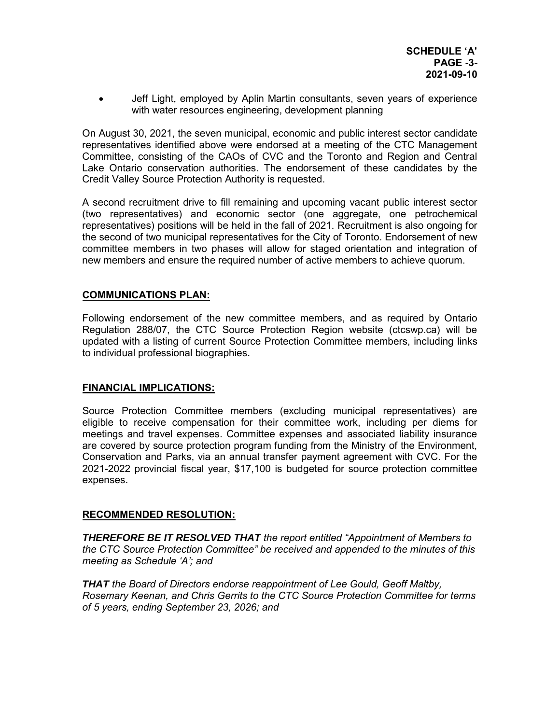Jeff Light, employed by Aplin Martin consultants, seven years of experience with water resources engineering, development planning

On August 30, 2021, the seven municipal, economic and public interest sector candidate representatives identified above were endorsed at a meeting of the CTC Management Committee, consisting of the CAOs of CVC and the Toronto and Region and Central Lake Ontario conservation authorities. The endorsement of these candidates by the Credit Valley Source Protection Authority is requested.

A second recruitment drive to fill remaining and upcoming vacant public interest sector (two representatives) and economic sector (one aggregate, one petrochemical representatives) positions will be held in the fall of 2021. Recruitment is also ongoing for the second of two municipal representatives for the City of Toronto. Endorsement of new committee members in two phases will allow for staged orientation and integration of new members and ensure the required number of active members to achieve quorum.

## **COMMUNICATIONS PLAN:**

Following endorsement of the new committee members, and as required by Ontario Regulation 288/07, the CTC Source Protection Region website (ctcswp.ca) will be updated with a listing of current Source Protection Committee members, including links to individual professional biographies.

#### **FINANCIAL IMPLICATIONS:**

Source Protection Committee members (excluding municipal representatives) are eligible to receive compensation for their committee work, including per diems for meetings and travel expenses. Committee expenses and associated liability insurance are covered by source protection program funding from the Ministry of the Environment, Conservation and Parks, via an annual transfer payment agreement with CVC. For the 2021-2022 provincial fiscal year, \$17,100 is budgeted for source protection committee expenses.

#### **RECOMMENDED RESOLUTION:**

*THEREFORE BE IT RESOLVED THAT the report entitled "Appointment of Members to the CTC Source Protection Committee" be received and appended to the minutes of this meeting as Schedule 'A'; and* 

*THAT the Board of Directors endorse reappointment of Lee Gould, Geoff Maltby, Rosemary Keenan, and Chris Gerrits to the CTC Source Protection Committee for terms of 5 years, ending September 23, 2026; and*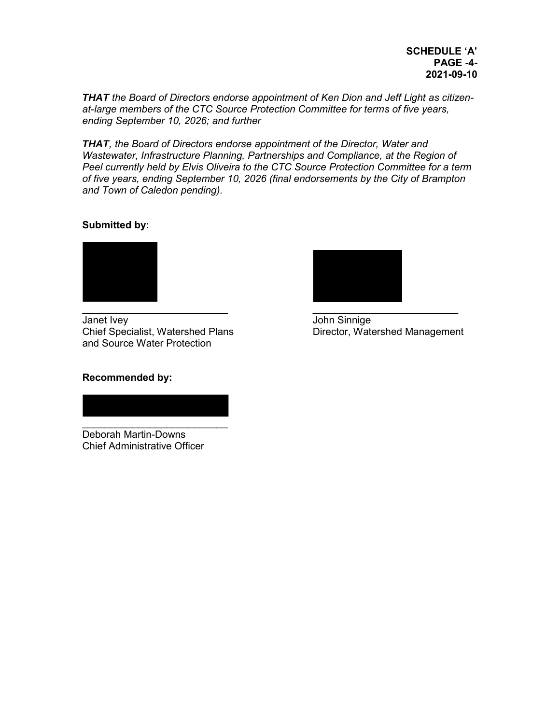*THAT the Board of Directors endorse appointment of Ken Dion and Jeff Light as citizenat-large members of the CTC Source Protection Committee for terms of five years, ending September 10, 2026; and further* 

*THAT, the Board of Directors endorse appointment of the Director, Water and Wastewater, Infrastructure Planning, Partnerships and Compliance, at the Region of Peel currently held by Elvis Oliveira to the CTC Source Protection Committee for a term of five years, ending September 10, 2026 (final endorsements by the City of Brampton and Town of Caledon pending).* 

# **Submitted by:**



Janet Ivey John Sinnige and Source Water Protection



Director, Watershed Management

## **Recommended by:**

 $\overline{\phantom{a}}$  , where  $\overline{\phantom{a}}$  , where  $\overline{\phantom{a}}$  , where  $\overline{\phantom{a}}$ Deborah Martin-Downs Chief Administrative Officer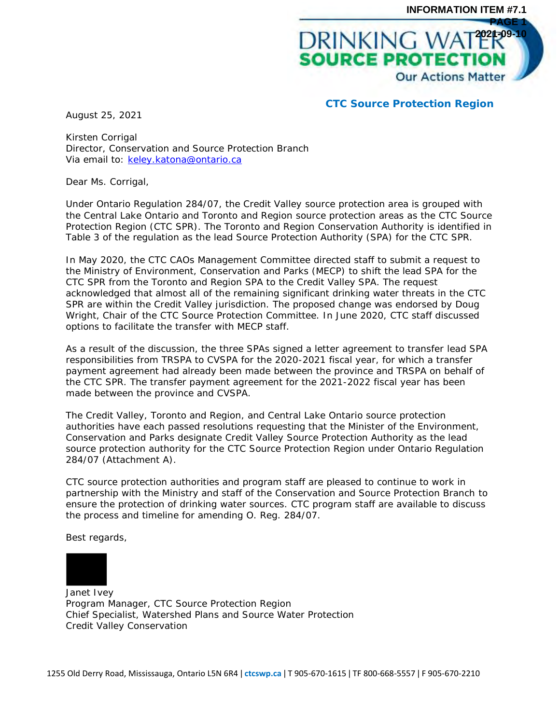

**CTC Source Protection Region**

August 25, 2021

Kirsten Corrigal Director, Conservation and Source Protection Branch Via email to: [keley.katona@ontario.ca](mailto:keley.katona@ontario.ca)

Dear Ms. Corrigal,

Under Ontario Regulation 284/07, the Credit Valley source protection area is grouped with the Central Lake Ontario and Toronto and Region source protection areas as the CTC Source Protection Region (CTC SPR). The Toronto and Region Conservation Authority is identified in Table 3 of the regulation as the lead Source Protection Authority (SPA) for the CTC SPR.

In May 2020, the CTC CAOs Management Committee directed staff to submit a request to the Ministry of Environment, Conservation and Parks (MECP) to shift the lead SPA for the CTC SPR from the Toronto and Region SPA to the Credit Valley SPA. The request acknowledged that almost all of the remaining significant drinking water threats in the CTC SPR are within the Credit Valley jurisdiction. The proposed change was endorsed by Doug Wright, Chair of the CTC Source Protection Committee. In June 2020, CTC staff discussed options to facilitate the transfer with MECP staff.

As a result of the discussion, the three SPAs signed a letter agreement to transfer lead SPA responsibilities from TRSPA to CVSPA for the 2020-2021 fiscal year, for which a transfer payment agreement had already been made between the province and TRSPA on behalf of the CTC SPR. The transfer payment agreement for the 2021-2022 fiscal year has been made between the province and CVSPA.

The Credit Valley, Toronto and Region, and Central Lake Ontario source protection authorities have each passed resolutions requesting that the Minister of the Environment, Conservation and Parks designate Credit Valley Source Protection Authority as the lead source protection authority for the CTC Source Protection Region under Ontario Regulation 284/07 (Attachment A).

CTC source protection authorities and program staff are pleased to continue to work in partnership with the Ministry and staff of the Conservation and Source Protection Branch to ensure the protection of drinking water sources. CTC program staff are available to discuss the process and timeline for amending O. Reg. 284/07.

Best regards,



Janet Ivey Program Manager, CTC Source Protection Region Chief Specialist, Watershed Plans and Source Water Protection Credit Valley Conservation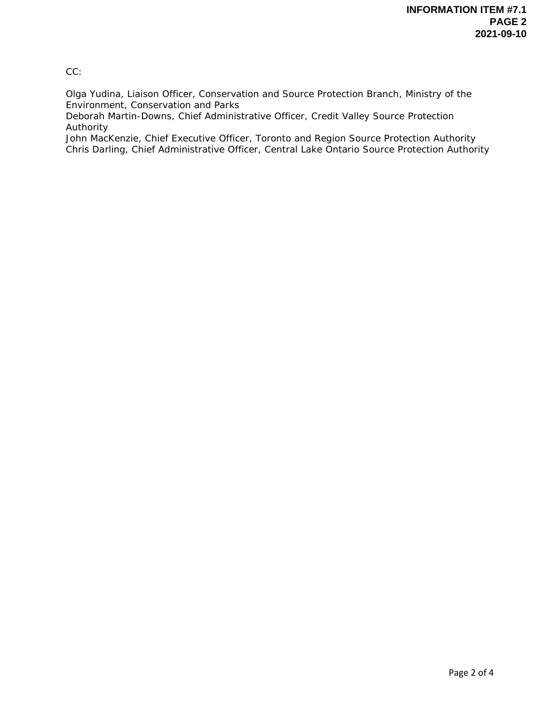CC:

Olga Yudina, Liaison Officer, Conservation and Source Protection Branch, Ministry of the Environment, Conservation and Parks

Deborah Martin-Downs, Chief Administrative Officer, Credit Valley Source Protection Authority

John MacKenzie, Chief Executive Officer, Toronto and Region Source Protection Authority Chris Darling, Chief Administrative Officer, Central Lake Ontario Source Protection Authority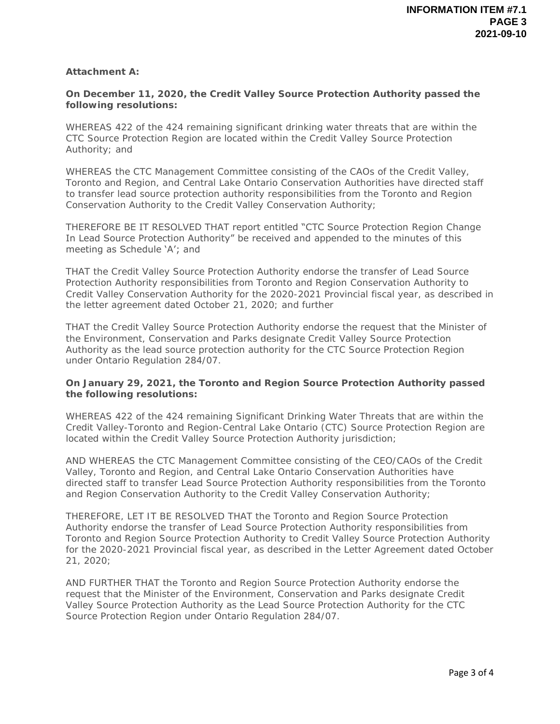**Attachment A:**

**On December 11, 2020, the Credit Valley Source Protection Authority passed the following resolutions:**

WHEREAS 422 of the 424 remaining significant drinking water threats that are within the CTC Source Protection Region are located within the Credit Valley Source Protection Authority; and

WHEREAS the CTC Management Committee consisting of the CAOs of the Credit Valley, Toronto and Region, and Central Lake Ontario Conservation Authorities have directed staff to transfer lead source protection authority responsibilities from the Toronto and Region Conservation Authority to the Credit Valley Conservation Authority;

THEREFORE BE IT RESOLVED THAT report entitled "CTC Source Protection Region Change In Lead Source Protection Authority" be received and appended to the minutes of this meeting as Schedule 'A'; and

THAT the Credit Valley Source Protection Authority endorse the transfer of Lead Source Protection Authority responsibilities from Toronto and Region Conservation Authority to Credit Valley Conservation Authority for the 2020-2021 Provincial fiscal year, as described in the letter agreement dated October 21, 2020; and further

THAT the Credit Valley Source Protection Authority endorse the request that the Minister of the Environment, Conservation and Parks designate Credit Valley Source Protection Authority as the lead source protection authority for the CTC Source Protection Region under Ontario Regulation 284/07.

**On January 29, 2021, the Toronto and Region Source Protection Authority passed the following resolutions:**

WHEREAS 422 of the 424 remaining Significant Drinking Water Threats that are within the Credit Valley-Toronto and Region-Central Lake Ontario (CTC) Source Protection Region are located within the Credit Valley Source Protection Authority jurisdiction;

AND WHEREAS the CTC Management Committee consisting of the CEO/CAOs of the Credit Valley, Toronto and Region, and Central Lake Ontario Conservation Authorities have directed staff to transfer Lead Source Protection Authority responsibilities from the Toronto and Region Conservation Authority to the Credit Valley Conservation Authority;

THEREFORE, LET IT BE RESOLVED THAT the Toronto and Region Source Protection Authority endorse the transfer of Lead Source Protection Authority responsibilities from Toronto and Region Source Protection Authority to Credit Valley Source Protection Authority for the 2020-2021 Provincial fiscal year, as described in the Letter Agreement dated October 21, 2020;

AND FURTHER THAT the Toronto and Region Source Protection Authority endorse the request that the Minister of the Environment, Conservation and Parks designate Credit Valley Source Protection Authority as the Lead Source Protection Authority for the CTC Source Protection Region under Ontario Regulation 284/07.